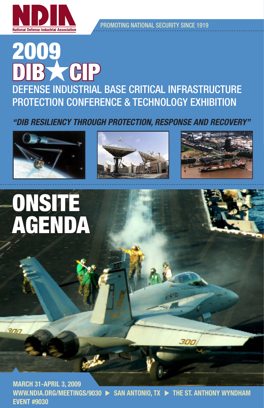

Promoting National Security Since 1919

# 2009 B CHP Defense industrial base critical infrastructure protection conference & technology Exhibition

*"DIB Resiliency through Protection, Response and Recovery"*









 $\frac{1}{2}$ 

march 31-april 3, 2009 WWW.NDIA.ORG/MEETINGS/9030  $\triangleright$  SAN ANTONIO, TX  $\triangleright$  THE ST. ANTHONY WYNDHAM Event #9030

300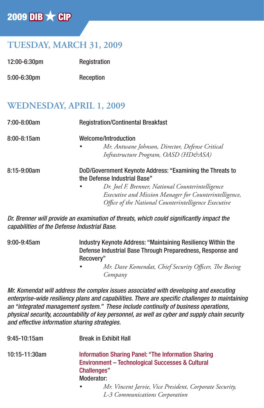## $2009$  DIB  $\times$  CIP

## **TUESDAY, MARCH 31, 2009**

| 12:00-6:30pm  | Registration |
|---------------|--------------|
| $5:00-6:30pm$ | Reception    |

### **WEDNESDAY, APRIL 1, 2009**

| 7:00-8:00am      | <b>Registration/Continental Breakfast</b>                                                                                                                                                                                                                        |
|------------------|------------------------------------------------------------------------------------------------------------------------------------------------------------------------------------------------------------------------------------------------------------------|
| $8:00 - 8:15$ am | Welcome/Introduction<br>Mr. Antwane Johnson, Director, Defense Critical<br>$\bullet$<br>Infrastructure Program, OASD (HD&ASA)                                                                                                                                    |
| 8:15-9:00am      | DoD/Government Keynote Address: "Examining the Threats to<br>the Defense Industrial Base"<br>Dr. Joel F. Brenner, National Counterintelligence<br>Executive and Mission Manager for Counterintelligence,<br>Office of the National Counterintelligence Executive |

*Dr. Brenner will provide an examination of threats, which could significantly impact the capabilities of the Defense Industrial Base.*

9:00-9:45am Industry Keynote Address: "Maintaining Resiliency Within the Defense Industrial Base Through Preparedness, Response and Recovery" *• Mr. Dave Komendat, Chief Security Officer, The Boeing Company*

*Mr. Komendat will address the complex issues associated with developing and executing enterprise-wide resiliency plans and capabilities. There are specific challenges to maintaining an "integrated management system." These include continuity of business operations, physical security, accountability of key personnel, as well as cyber and supply chain security and effective information sharing strategies.* 

| $9:45-10:15am$ | <b>Break in Exhibit Hall</b>                                                                                                                           |
|----------------|--------------------------------------------------------------------------------------------------------------------------------------------------------|
| 10:15-11:30am  | <b>Information Sharing Panel: "The Information Sharing</b><br><b>Environment - Technological Successes &amp; Cultural</b><br>Challenges"<br>Moderator: |
|                | Mr. Vincent Jarvie, Vice President, Corporate Security,<br>L-3 Communications Corporation                                                              |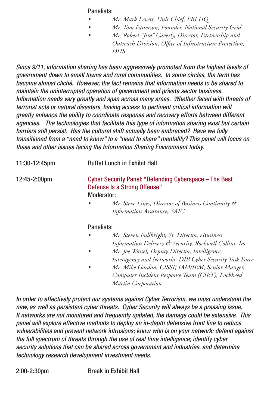Panelists:

- *• Mr. Mark Levett, Unit Chief, FBI HQ*
- *• Mr. Tom Patterson, Founder, National Security Grid*
- *• Mr. Robert "Jim" Caverly, Director, Partnership and Outreach Division, Office of Infrastructure Protection, DHS*

*Since 9/11, information sharing has been aggressively promoted from the highest levels of government down to small towns and rural communities. In some circles, the term has become almost cliché. However, the fact remains that information needs to be shared to maintain the uninterrupted operation of government and private sector business. Information needs vary greatly and span across many areas. Whether faced with threats of terrorist acts or natural disasters, having access to pertinent critical information will greatly enhance the ability to coordinate response and recovery efforts between different agencies. The technologies that facilitate this type of information sharing exist but certain barriers still persist. Has the cultural shift actually been embraced? Have we fully transitioned from a "need to know" to a "need to share" mentality? This panel will focus on these and other issues facing the Information Sharing Environment today.* 

| $11:30-12:45pm$          | <b>Buffet Lunch in Exhibit Hall</b>                                                                            |  |
|--------------------------|----------------------------------------------------------------------------------------------------------------|--|
| $12:45 - 2:00 \text{pm}$ | Cyber Security Panel: "Defending Cyberspace – The Best<br>Defense Is a Strong Offense"<br>Moderator:           |  |
|                          | Mr. Steve Lines, Director of Business Continuity &<br>٠<br>Information Assurance, SAIC                         |  |
|                          | Panelists:                                                                                                     |  |
|                          | Mr. Steven Fullbright, Sr. Director, eBusiness<br>٠<br>Information Delivery & Security, Rockwell Collins, Inc. |  |

- *• Mr. Joe Wassel, Deputy Director, Intelligence, Interagency and Networks, DIB Cyber Security Task Force*
- *• Mr. Mike Gordon, CISSP, IAM/IEM, Senior Manger, Computer Incident Response Team (CIRT), Lockheed Martin Corporation*

*In order to effectively protect our systems against Cyber Terrorism, we must understand the new, as well as persistent cyber threats. Cyber Security will always be a pressing issue. If networks are not monitored and frequently updated, the damage could be extensive. This panel will explore effective methods to deploy an in-depth defensive front line to reduce vulnerabilities and prevent network intrusions; know who is on your network; defend against the full spectrum of threats through the use of real time intelligence; identify cyber security solutions that can be shared across government and industries, and determine technology research development investment needs.*

2:00-2:30pm Break in Exhibit Hall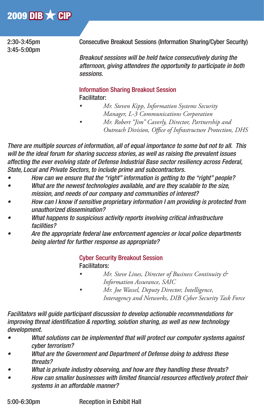## 2009 DIB  $\times$  CIP

3:45-5:00pm

2:30-3:45pm Consecutive Breakout Sessions (Information Sharing/Cyber Security)

 *Breakout sessions will be held twice consecutively during the afternoon, giving attendees the opportunity to participate in both sessions.* 

#### Information Sharing Breakout Session Facilitator:

- *• Mr. Steven Kipp, Information Systems Security Manager, L-3 Communications Corporation*
- *Mr. Robert* "*Jim*" *Caverly, Director, Partnership and Outreach Division, Office of Infrastructure Protection, DHS*

*There are multiple sources of information, all of equal importance to some but not to all. This will be the ideal forum for sharing success stories, as well as raising the prevalent issues affecting the ever evolving state of Defense Industrial Base sector resiliency across Federal, State, Local and Private Sectors, to include prime and subcontractors.* 

- *• How can we ensure that the "right" information is getting to the "right" people?*
- *• What are the newest technologies available, and are they scalable to the size, mission, and needs of our company and communities of interest?*
- *• How can I know if sensitive proprietary information I am providing is protected from unauthorized dissemination?*
- *• What happens to suspicious activity reports involving critical infrastructure facilities?*
- *• Are the appropriate federal law enforcement agencies or local police departments being alerted for further response as appropriate?*

 Cyber Security Breakout Session Facilitators:

- *• Mr. Steve Lines, Director of Business Continuity & Information Assurance, SAIC*
- *• Mr. Joe Wassel, Deputy Director, Intelligence, Interagency and Networks, DIB Cyber Security Task Force*

*Facilitators will guide participant discussion to develop actionable recommendations for improving threat identification & reporting, solution sharing, as well as new technology development.*

- *• What solutions can be implemented that will protect our computer systems against cyber terrorism?*
- *• What are the Government and Department of Defense doing to address these threats?*
- *• What is private industry observing, and how are they handling these threats?*
- *• How can smaller businesses with limited financial resources effectively protect their systems in an affordable manner?*

5:00-6:30pm Reception in Exhibit Hall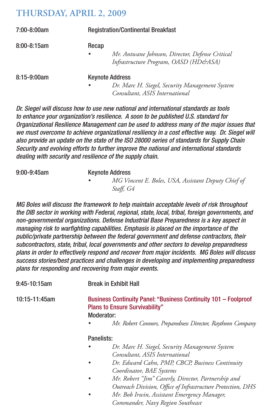#### **THURSDAY, APRIL 2, 2009**

| 7:00-8:00am      | <b>Registration/Continental Breakfast</b>                                                                               |
|------------------|-------------------------------------------------------------------------------------------------------------------------|
| $8:00 - 8:15$ am | Recap<br>Mr. Antwane Johnson, Director, Defense Critical<br>$\bullet$<br>Infrastructure Program, OASD (HD&ASA)          |
| $8:15-9:00am$    | <b>Keynote Address</b><br>Dr. Marc H. Siegel, Security Management System<br>$\bullet$<br>Consultant, ASIS International |

*Dr. Siegel will discuss how to use new national and international standards as tools to enhance your organization's resilience. A soon to be published U.S. standard for Organizational Resilience Management can be used to address many of the major issues that we must overcome to achieve organizational resiliency in a cost effective way. Dr. Siegel will also provide an update on the state of the ISO 28000 series of standards for Supply Chain Security and evolving efforts to further improve the national and international standards dealing with security and resilience of the supply chain.*

9:00-9:45am Keynote Address *• MG Vincent E. Boles, USA, Assistant Deputy Chief of Staff, G4*

*MG Boles will discuss the framework to help maintain acceptable levels of risk throughout the DIB sector in working with Federal, regional, state, local, tribal, foreign governments, and non-governmental organizations. Defense Industrial Base Preparedness is a key aspect in managing risk to warfighting capabilities. Emphasis is placed on the importance of the public/private partnership between the federal government and defense contractors, their subcontractors, state, tribal, local governments and other sectors to develop preparedness plans in order to effectively respond and recover from major incidents. MG Boles will discuss success stories/best practices and challenges in developing and implementing preparedness plans for responding and recovering from major events.* 

| 9:45-10:15am  |            | <b>Break in Exhibit Hall</b>                                                                                           |
|---------------|------------|------------------------------------------------------------------------------------------------------------------------|
| 10:15-11:45am |            | Business Continuity Panel: "Business Continuity 101 - Foolproof<br><b>Plans to Ensure Survivability"</b><br>Moderator: |
|               |            | Mr. Robert Connors, Preparedness Director, Raytheon Company                                                            |
|               | Panelists: |                                                                                                                        |
|               |            | Dr. Marc H. Siegel, Security Management System<br>Consultant, ASIS International                                       |
|               |            | Dr. Edward Cahn, PMP, CBCP, Business Continuity<br>Coordinator, BAE Systems                                            |
|               |            | Mr. Robert "Jim" Caverly, Director, Partnership and                                                                    |
|               |            | Outreach Division, Office of Infrastructure Protection, DHS<br>Mr. Bob Irwin, Assistant Emergency Manager,             |

 *Commander, Navy Region Southeast*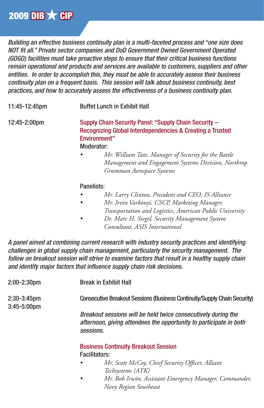*Building an effective business continuity plan is a multi-faceted process and "one size does NOT fit all." Private sector companies and DoD Government Owned Government Operated (GOGO) facilities must take proactive steps to ensure that their critical business functions remain operational and products and services are available to customers, suppliers and other entities. In order to accomplish this, they must be able to accurately assess their business continuity plan on a frequent basis. This session will talk about business continuity, best practices, and how to accurately assess the effectiveness of a business continuity plan.*

11:45-12:45pm Buffet Lunch in Exhibit Hall

12:45-2:00pm Supply Chain Security Panel: "Supply Chain Security – Recognizing Global Interdependencies & Creating a Trusted Environment" Moderator:

> *• Mr. William Tate, Manager of Security for the Battle Management and Engagement Systems Division, Northrop Grumman Aerospace Systems*

#### Panelists:

- *• Mr. Larry Clinton, President and CEO, IS Alliance*
- *• Mr. Irvin Varkonyi, CSCP, Marketing Manager, Transportation and Logistics, American Public University*
- *• Dr. Marc H. Siegel, Security Management System Consultant, ASIS International*

*A panel aimed at combining current research with industry security practices and identifying challenges in global supply chain management, particularly the security management. The follow on breakout session will strive to examine factors that result in a healthy supply chain and identify major factors that influence supply chain risk decisions.* 

| 2:00-2:30pm                       | <b>Break in Exhibit Hall</b>                                                                                                                     |
|-----------------------------------|--------------------------------------------------------------------------------------------------------------------------------------------------|
| $2:30-3:45pm$<br>$3:45 - 5:00$ pm | Consecutive Breakout Sessions (Business Continuity/Supply Chain Security)                                                                        |
|                                   | Breakout sessions will be held twice consecutively during the<br>afternoon, giving attendees the opportunity to participate in both<br>sessions. |
|                                   | <b>Business Continuity Breakout Session</b>                                                                                                      |
|                                   | <b>Facilitators:</b>                                                                                                                             |
|                                   | Mr. Scott McCoy, Chief Security Officer, Alliant<br>٠                                                                                            |
|                                   | Techsystems (ATK)                                                                                                                                |

 *• Mr. Bob Irwin, Assistant Emergency Manager, Commander, Navy Region Southeast*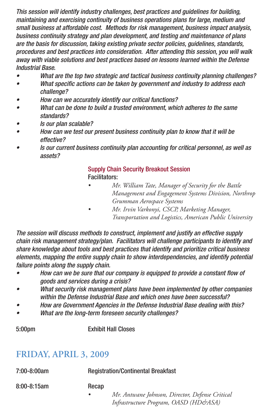*This session will identify industry challenges, best practices and guidelines for building, maintaining and exercising continuity of business operations plans for large, medium and small business at affordable cost. Methods for risk management, business impact analysis, business continuity strategy and plan development, and testing and maintenance of plans are the basis for discussion, taking existing private sector policies, guidelines, standards, procedures and best practices into consideration. After attending this session, you will walk away with viable solutions and best practices based on lessons learned within the Defense Industrial Base.* 

- *• What are the top two strategic and tactical business continuity planning challenges?*
- *• What specific actions can be taken by government and industry to address each challenge?*
- *• How can we accurately identify our critical functions?*
- *• What can be done to build a trusted environment, which adheres to the same standards?*
- *• Is our plan scalable?*
- *• How can we test our present business continuity plan to know that it will be effective?*
- *• Is our current business continuity plan accounting for critical personnel, as well as assets?*

## Supply Chain Security Breakout Session

#### Facilitators:

- *• Mr. William Tate, Manager of Security for the Battle Management and Engagement Systems Division, Northrop Grumman Aerospace Systems*
- *• Mr. Irvin Varkonyi, CSCP, Marketing Manager, Transportation and Logistics, American Public University*

*The session will discuss methods to construct, implement and justify an effective supply chain risk management strategy/plan. Facilitators will challenge participants to identify and share knowledge about tools and best practices that identify and prioritize critical business elements, mapping the entire supply chain to show interdependencies, and identify potential failure points along the supply chain.* 

- *• How can we be sure that our company is equipped to provide a constant flow of goods and services during a crisis?*
- *• What security risk management plans have been implemented by other companies within the Defense Industrial Base and which ones have been successful?*
- *• How are Government Agencies in the Defense Industrial Base dealing with this?*
- *• What are the long-term foreseen security challenges?*

5:00pm Exhibit Hall Closes

## **FRIDAY, APRIL 3, 2009**

| 7:00-8:00am | <b>Registration/Continental Breakfast</b>                                                             |
|-------------|-------------------------------------------------------------------------------------------------------|
| 8:00-8:15am | Recap                                                                                                 |
|             | Mr. Antwane Johnson, Director, Defense Critical<br>$\bullet$<br>Infrastructure Program, OASD (HD&ASA) |